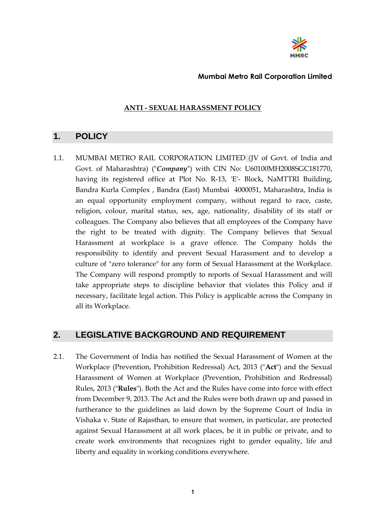

### **ANTI - SEXUAL HARASSMENT POLICY**

### **1. POLICY**

1.1. MUMBAI METRO RAIL CORPORATION LIMITED (JV of Govt. of India and Govt. of Maharashtra) ("*Company*") with CIN No: U60100MH2008SGC181770, having its registered office at Plot No. R-13, 'E'- Block, NaMTTRI Building, Bandra Kurla Complex , Bandra (East) Mumbai 4000051, Maharashtra, India is an equal opportunity employment company, without regard to race, caste, religion, colour, marital status, sex, age, nationality, disability of its staff or colleagues. The Company also believes that all employees of the Company have the right to be treated with dignity. The Company believes that Sexual Harassment at workplace is a grave offence. The Company holds the responsibility to identify and prevent Sexual Harassment and to develop a culture of "zero tolerance" for any form of Sexual Harassment at the Workplace. The Company will respond promptly to reports of Sexual Harassment and will take appropriate steps to discipline behavior that violates this Policy and if necessary, facilitate legal action. This Policy is applicable across the Company in all its Workplace.

### **2. LEGISLATIVE BACKGROUND AND REQUIREMENT**

2.1. The Government of India has notified the Sexual Harassment of Women at the Workplace (Prevention, Prohibition Redressal) Act, 2013 ("**Act**") and the Sexual Harassment of Women at Workplace (Prevention, Prohibition and Redressal) Rules, 2013 ("**Rules**"). Both the Act and the Rules have come into force with effect from December 9, 2013. The Act and the Rules were both drawn up and passed in furtherance to the guidelines as laid down by the Supreme Court of India in Vishaka v. State of Rajasthan, to ensure that women, in particular, are protected against Sexual Harassment at all work places, be it in public or private, and to create work environments that recognizes right to gender equality, life and liberty and equality in working conditions everywhere.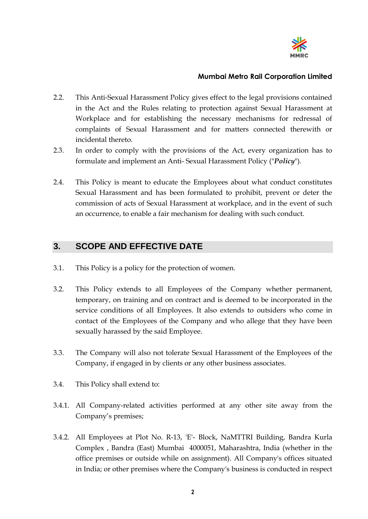

- 2.2. This Anti-Sexual Harassment Policy gives effect to the legal provisions contained in the Act and the Rules relating to protection against Sexual Harassment at Workplace and for establishing the necessary mechanisms for redressal of complaints of Sexual Harassment and for matters connected therewith or incidental thereto.
- 2.3. In order to comply with the provisions of the Act, every organization has to formulate and implement an Anti- Sexual Harassment Policy ("*Policy*").
- 2.4. This Policy is meant to educate the Employees about what conduct constitutes Sexual Harassment and has been formulated to prohibit, prevent or deter the commission of acts of Sexual Harassment at workplace, and in the event of such an occurrence, to enable a fair mechanism for dealing with such conduct.

## **3. SCOPE AND EFFECTIVE DATE**

- 3.1. This Policy is a policy for the protection of women.
- 3.2. This Policy extends to all Employees of the Company whether permanent, temporary, on training and on contract and is deemed to be incorporated in the service conditions of all Employees. It also extends to outsiders who come in contact of the Employees of the Company and who allege that they have been sexually harassed by the said Employee.
- 3.3. The Company will also not tolerate Sexual Harassment of the Employees of the Company, if engaged in by clients or any other business associates.
- 3.4. This Policy shall extend to:
- 3.4.1. All Company-related activities performed at any other site away from the Company's premises;
- 3.4.2. All Employees at Plot No. R-13, 'E'- Block, NaMTTRI Building, Bandra Kurla Complex , Bandra (East) Mumbai 4000051, Maharashtra, India (whether in the office premises or outside while on assignment). All Company's offices situated in India; or other premises where the Company's business is conducted in respect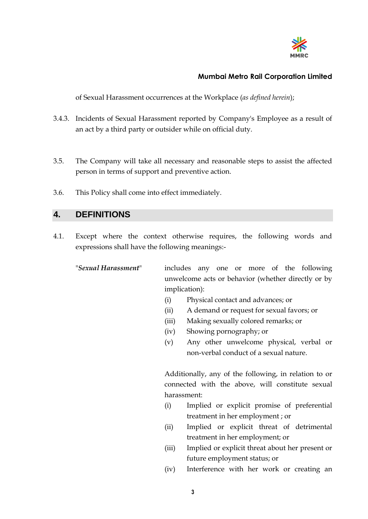

of Sexual Harassment occurrences at the Workplace (*as defined herein*);

- 3.4.3. Incidents of Sexual Harassment reported by Company's Employee as a result of an act by a third party or outsider while on official duty.
- 3.5. The Company will take all necessary and reasonable steps to assist the affected person in terms of support and preventive action.
- 3.6. This Policy shall come into effect immediately.

### **4. DEFINITIONS**

4.1. Except where the context otherwise requires, the following words and expressions shall have the following meanings:-

"*Sexual Harassment*" includes any one or more of the following unwelcome acts or behavior (whether directly or by implication):

- (i) Physical contact and advances; or
- (ii) A demand or request for sexual favors; or
- (iii) Making sexually colored remarks; or
- (iv) Showing pornography; or
- (v) Any other unwelcome physical, verbal or non-verbal conduct of a sexual nature.

Additionally, any of the following, in relation to or connected with the above, will constitute sexual harassment:

- (i) Implied or explicit promise of preferential treatment in her employment ; or
- (ii) Implied or explicit threat of detrimental treatment in her employment; or
- (iii) Implied or explicit threat about her present or future employment status; or
- (iv) Interference with her work or creating an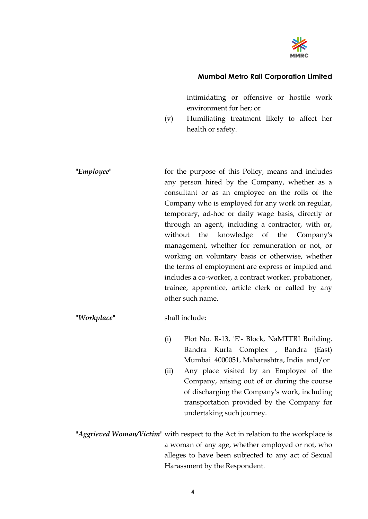

intimidating or offensive or hostile work environment for her; or

- (v) Humiliating treatment likely to affect her health or safety.
- "*Employee*" for the purpose of this Policy, means and includes any person hired by the Company, whether as a consultant or as an employee on the rolls of the Company who is employed for any work on regular, temporary, ad-hoc or daily wage basis, directly or through an agent, including a contractor, with or, without the knowledge of the Company's management, whether for remuneration or not, or working on voluntary basis or otherwise, whether the terms of employment are express or implied and includes a co-worker, a contract worker, probationer, trainee, apprentice, article clerk or called by any other such name.

#### "*Workplace***"** shall include:

(i) Plot No. R-13, 'E'- Block, NaMTTRI Building, Bandra Kurla Complex , Bandra (East) Mumbai 4000051, Maharashtra, India and/or (ii) Any place visited by an Employee of the Company, arising out of or during the course of discharging the Company's work, including transportation provided by the Company for undertaking such journey.

"*Aggrieved Woman/Victim*" with respect to the Act in relation to the workplace is a woman of any age, whether employed or not, who alleges to have been subjected to any act of Sexual Harassment by the Respondent.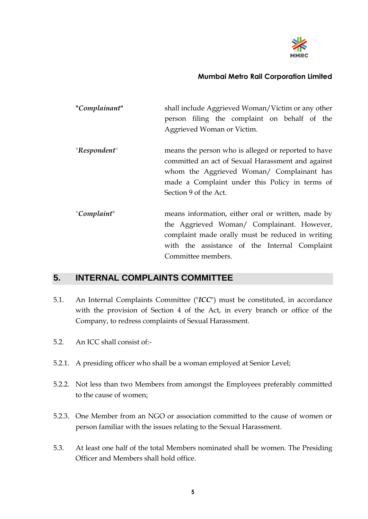

| "Complainant" | shall include Aggrieved Woman/Victim or any other   |
|---------------|-----------------------------------------------------|
|               | person filing the complaint on behalf of the        |
|               | Aggrieved Woman or Victim.                          |
| "Respondent"  | means the person who is alleged or reported to have |
|               | committed an act of Sexual Harassment and against   |
|               | whom the Aggrieved Woman/ Complainant has           |
|               | made a Complaint under this Policy in terms of      |
|               | Section 9 of the Act.                               |
|               |                                                     |
| "Complaint"   | means information, either oral or written, made by  |
|               | the Aggrieved Woman/ Complainant. However,          |
|               | complaint made orally must be reduced in writing    |
|               | with the assistance of the Internal Complaint       |
|               | Committee members.                                  |

## **5. INTERNAL COMPLAINTS COMMITTEE**

- 5.1. An Internal Complaints Committee ("*ICC*") must be constituted, in accordance with the provision of Section 4 of the Act, in every branch or office of the Company, to redress complaints of Sexual Harassment.
- 5.2. An ICC shall consist of:-
- 5.2.1. A presiding officer who shall be a woman employed at Senior Level;
- 5.2.2. Not less than two Members from amongst the Employees preferably committed to the cause of women;
- 5.2.3. One Member from an NGO or association committed to the cause of women or person familiar with the issues relating to the Sexual Harassment.
- 5.3. At least one half of the total Members nominated shall be women. The Presiding Officer and Members shall hold office.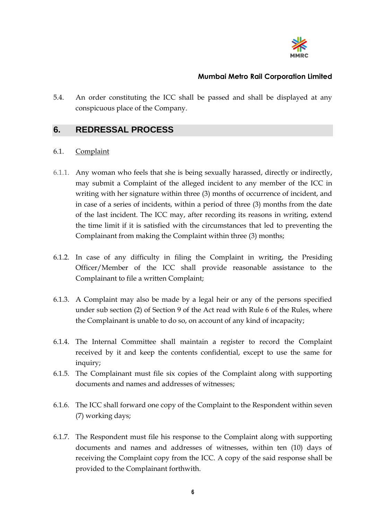

5.4. An order constituting the ICC shall be passed and shall be displayed at any conspicuous place of the Company.

## **6. REDRESSAL PROCESS**

#### 6.1. Complaint

- 6.1.1. Any woman who feels that she is being sexually harassed, directly or indirectly, may submit a Complaint of the alleged incident to any member of the ICC in writing with her signature within three (3) months of occurrence of incident, and in case of a series of incidents, within a period of three (3) months from the date of the last incident. The ICC may, after recording its reasons in writing, extend the time limit if it is satisfied with the circumstances that led to preventing the Complainant from making the Complaint within three (3) months;
- 6.1.2. In case of any difficulty in filing the Complaint in writing, the Presiding Officer/Member of the ICC shall provide reasonable assistance to the Complainant to file a written Complaint;
- 6.1.3. A Complaint may also be made by a legal heir or any of the persons specified under sub section (2) of Section 9 of the Act read with Rule 6 of the Rules, where the Complainant is unable to do so, on account of any kind of incapacity;
- 6.1.4. The Internal Committee shall maintain a register to record the Complaint received by it and keep the contents confidential, except to use the same for inquiry;
- 6.1.5. The Complainant must file six copies of the Complaint along with supporting documents and names and addresses of witnesses;
- 6.1.6. The ICC shall forward one copy of the Complaint to the Respondent within seven (7) working days;
- 6.1.7. The Respondent must file his response to the Complaint along with supporting documents and names and addresses of witnesses, within ten (10) days of receiving the Complaint copy from the ICC. A copy of the said response shall be provided to the Complainant forthwith.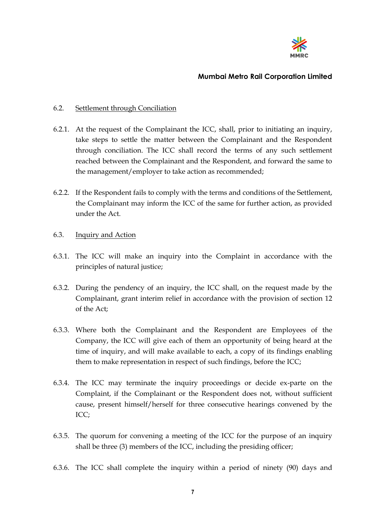

#### 6.2. Settlement through Conciliation

- 6.2.1. At the request of the Complainant the ICC, shall, prior to initiating an inquiry, take steps to settle the matter between the Complainant and the Respondent through conciliation. The ICC shall record the terms of any such settlement reached between the Complainant and the Respondent, and forward the same to the management/employer to take action as recommended;
- 6.2.2. If the Respondent fails to comply with the terms and conditions of the Settlement, the Complainant may inform the ICC of the same for further action, as provided under the Act.

#### 6.3. Inquiry and Action

- 6.3.1. The ICC will make an inquiry into the Complaint in accordance with the principles of natural justice;
- 6.3.2. During the pendency of an inquiry, the ICC shall, on the request made by the Complainant, grant interim relief in accordance with the provision of section 12 of the Act;
- 6.3.3. Where both the Complainant and the Respondent are Employees of the Company, the ICC will give each of them an opportunity of being heard at the time of inquiry, and will make available to each, a copy of its findings enabling them to make representation in respect of such findings, before the ICC;
- 6.3.4. The ICC may terminate the inquiry proceedings or decide ex-parte on the Complaint, if the Complainant or the Respondent does not, without sufficient cause, present himself/herself for three consecutive hearings convened by the ICC;
- 6.3.5. The quorum for convening a meeting of the ICC for the purpose of an inquiry shall be three (3) members of the ICC, including the presiding officer;
- 6.3.6. The ICC shall complete the inquiry within a period of ninety (90) days and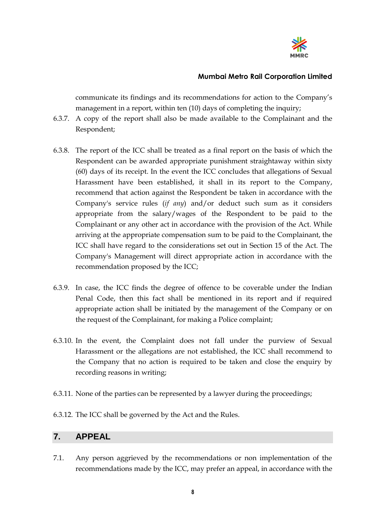

communicate its findings and its recommendations for action to the Company's management in a report, within ten (10) days of completing the inquiry;

- 6.3.7. A copy of the report shall also be made available to the Complainant and the Respondent;
- 6.3.8. The report of the ICC shall be treated as a final report on the basis of which the Respondent can be awarded appropriate punishment straightaway within sixty (60) days of its receipt. In the event the ICC concludes that allegations of Sexual Harassment have been established, it shall in its report to the Company, recommend that action against the Respondent be taken in accordance with the Company's service rules (*if any*) and/or deduct such sum as it considers appropriate from the salary/wages of the Respondent to be paid to the Complainant or any other act in accordance with the provision of the Act. While arriving at the appropriate compensation sum to be paid to the Complainant, the ICC shall have regard to the considerations set out in Section 15 of the Act. The Company's Management will direct appropriate action in accordance with the recommendation proposed by the ICC;
- 6.3.9. In case, the ICC finds the degree of offence to be coverable under the Indian Penal Code, then this fact shall be mentioned in its report and if required appropriate action shall be initiated by the management of the Company or on the request of the Complainant, for making a Police complaint;
- 6.3.10. In the event, the Complaint does not fall under the purview of Sexual Harassment or the allegations are not established, the ICC shall recommend to the Company that no action is required to be taken and close the enquiry by recording reasons in writing;
- 6.3.11. None of the parties can be represented by a lawyer during the proceedings;
- 6.3.12. The ICC shall be governed by the Act and the Rules.

### **7. APPEAL**

7.1. Any person aggrieved by the recommendations or non implementation of the recommendations made by the ICC, may prefer an appeal, in accordance with the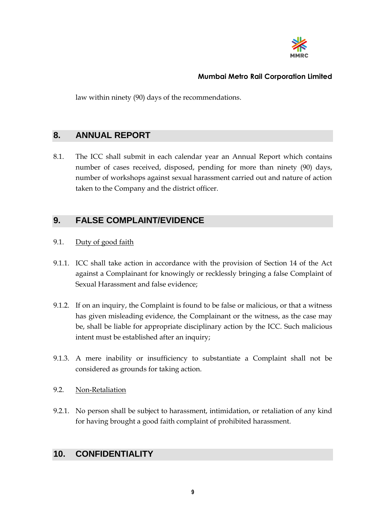

law within ninety (90) days of the recommendations.

## **8. ANNUAL REPORT**

8.1. The ICC shall submit in each calendar year an Annual Report which contains number of cases received, disposed, pending for more than ninety (90) days, number of workshops against sexual harassment carried out and nature of action taken to the Company and the district officer.

## **9. FALSE COMPLAINT/EVIDENCE**

#### 9.1. Duty of good faith

- 9.1.1. ICC shall take action in accordance with the provision of Section 14 of the Act against a Complainant for knowingly or recklessly bringing a false Complaint of Sexual Harassment and false evidence;
- 9.1.2. If on an inquiry, the Complaint is found to be false or malicious, or that a witness has given misleading evidence, the Complainant or the witness, as the case may be, shall be liable for appropriate disciplinary action by the ICC. Such malicious intent must be established after an inquiry;
- 9.1.3. A mere inability or insufficiency to substantiate a Complaint shall not be considered as grounds for taking action.

#### 9.2. Non-Retaliation

9.2.1. No person shall be subject to harassment, intimidation, or retaliation of any kind for having brought a good faith complaint of prohibited harassment.

## **10. CONFIDENTIALITY**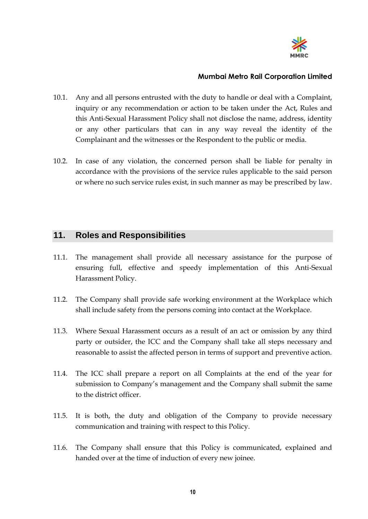

- 10.1. Any and all persons entrusted with the duty to handle or deal with a Complaint, inquiry or any recommendation or action to be taken under the Act, Rules and this Anti-Sexual Harassment Policy shall not disclose the name, address, identity or any other particulars that can in any way reveal the identity of the Complainant and the witnesses or the Respondent to the public or media.
- 10.2. In case of any violation, the concerned person shall be liable for penalty in accordance with the provisions of the service rules applicable to the said person or where no such service rules exist, in such manner as may be prescribed by law.

### **11. Roles and Responsibilities**

- 11.1. The management shall provide all necessary assistance for the purpose of ensuring full, effective and speedy implementation of this Anti-Sexual Harassment Policy.
- 11.2. The Company shall provide safe working environment at the Workplace which shall include safety from the persons coming into contact at the Workplace.
- 11.3. Where Sexual Harassment occurs as a result of an act or omission by any third party or outsider, the ICC and the Company shall take all steps necessary and reasonable to assist the affected person in terms of support and preventive action.
- 11.4. The ICC shall prepare a report on all Complaints at the end of the year for submission to Company's management and the Company shall submit the same to the district officer.
- 11.5. It is both, the duty and obligation of the Company to provide necessary communication and training with respect to this Policy.
- 11.6. The Company shall ensure that this Policy is communicated, explained and handed over at the time of induction of every new joinee.